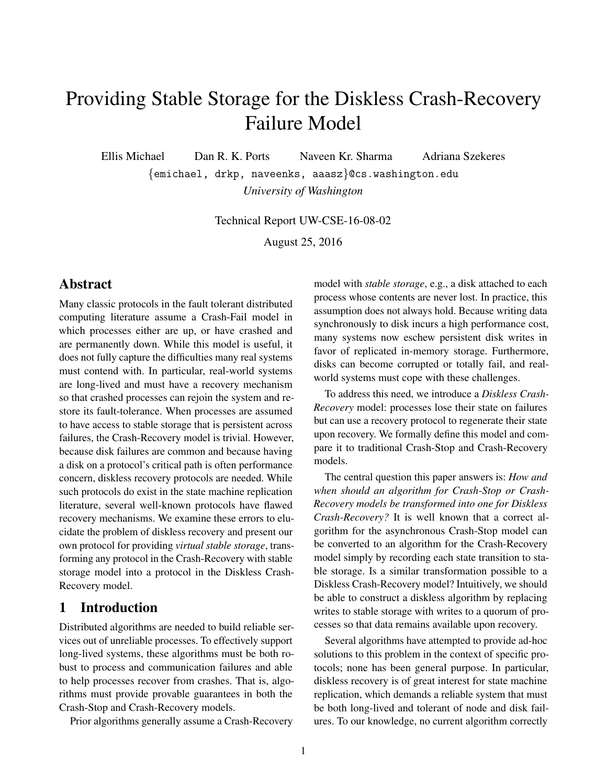# Providing Stable Storage for the Diskless Crash-Recovery Failure Model

Ellis Michael Dan R. K. Ports Naveen Kr. Sharma Adriana Szekeres

{emichael, drkp, naveenks, aaasz}@cs.washington.edu *University of Washington*

Technical Report UW-CSE-16-08-02

August 25, 2016

### Abstract

Many classic protocols in the fault tolerant distributed computing literature assume a Crash-Fail model in which processes either are up, or have crashed and are permanently down. While this model is useful, it does not fully capture the difficulties many real systems must contend with. In particular, real-world systems are long-lived and must have a recovery mechanism so that crashed processes can rejoin the system and restore its fault-tolerance. When processes are assumed to have access to stable storage that is persistent across failures, the Crash-Recovery model is trivial. However, because disk failures are common and because having a disk on a protocol's critical path is often performance concern, diskless recovery protocols are needed. While such protocols do exist in the state machine replication literature, several well-known protocols have flawed recovery mechanisms. We examine these errors to elucidate the problem of diskless recovery and present our own protocol for providing *virtual stable storage*, transforming any protocol in the Crash-Recovery with stable storage model into a protocol in the Diskless Crash-Recovery model.

### 1 Introduction

Distributed algorithms are needed to build reliable services out of unreliable processes. To effectively support long-lived systems, these algorithms must be both robust to process and communication failures and able to help processes recover from crashes. That is, algorithms must provide provable guarantees in both the Crash-Stop and Crash-Recovery models.

Prior algorithms generally assume a Crash-Recovery

model with *stable storage*, e.g., a disk attached to each process whose contents are never lost. In practice, this assumption does not always hold. Because writing data synchronously to disk incurs a high performance cost, many systems now eschew persistent disk writes in favor of replicated in-memory storage. Furthermore, disks can become corrupted or totally fail, and realworld systems must cope with these challenges.

To address this need, we introduce a *Diskless Crash-Recovery* model: processes lose their state on failures but can use a recovery protocol to regenerate their state upon recovery. We formally define this model and compare it to traditional Crash-Stop and Crash-Recovery models.

The central question this paper answers is: *How and when should an algorithm for Crash-Stop or Crash-Recovery models be transformed into one for Diskless Crash-Recovery?* It is well known that a correct algorithm for the asynchronous Crash-Stop model can be converted to an algorithm for the Crash-Recovery model simply by recording each state transition to stable storage. Is a similar transformation possible to a Diskless Crash-Recovery model? Intuitively, we should be able to construct a diskless algorithm by replacing writes to stable storage with writes to a quorum of processes so that data remains available upon recovery.

Several algorithms have attempted to provide ad-hoc solutions to this problem in the context of specific protocols; none has been general purpose. In particular, diskless recovery is of great interest for state machine replication, which demands a reliable system that must be both long-lived and tolerant of node and disk failures. To our knowledge, no current algorithm correctly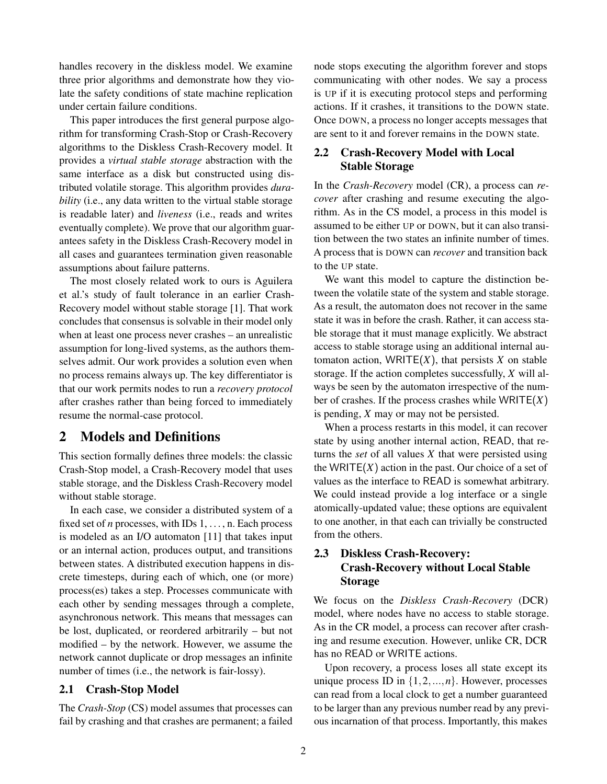handles recovery in the diskless model. We examine three prior algorithms and demonstrate how they violate the safety conditions of state machine replication under certain failure conditions.

This paper introduces the first general purpose algorithm for transforming Crash-Stop or Crash-Recovery algorithms to the Diskless Crash-Recovery model. It provides a *virtual stable storage* abstraction with the same interface as a disk but constructed using distributed volatile storage. This algorithm provides *durability* (i.e., any data written to the virtual stable storage is readable later) and *liveness* (i.e., reads and writes eventually complete). We prove that our algorithm guarantees safety in the Diskless Crash-Recovery model in all cases and guarantees termination given reasonable assumptions about failure patterns.

The most closely related work to ours is Aguilera et al.'s study of fault tolerance in an earlier Crash-Recovery model without stable storage [\[1\]](#page-10-0). That work concludes that consensus is solvable in their model only when at least one process never crashes – an unrealistic assumption for long-lived systems, as the authors themselves admit. Our work provides a solution even when no process remains always up. The key differentiator is that our work permits nodes to run a *recovery protocol* after crashes rather than being forced to immediately resume the normal-case protocol.

### 2 Models and Definitions

This section formally defines three models: the classic Crash-Stop model, a Crash-Recovery model that uses stable storage, and the Diskless Crash-Recovery model without stable storage.

In each case, we consider a distributed system of a fixed set of *n* processes, with IDs 1, ..., n. Each process is modeled as an I/O automaton [\[11\]](#page-10-1) that takes input or an internal action, produces output, and transitions between states. A distributed execution happens in discrete timesteps, during each of which, one (or more) process(es) takes a step. Processes communicate with each other by sending messages through a complete, asynchronous network. This means that messages can be lost, duplicated, or reordered arbitrarily – but not modified – by the network. However, we assume the network cannot duplicate or drop messages an infinite number of times (i.e., the network is fair-lossy).

### 2.1 Crash-Stop Model

The *Crash-Stop* (CS) model assumes that processes can fail by crashing and that crashes are permanent; a failed node stops executing the algorithm forever and stops communicating with other nodes. We say a process is UP if it is executing protocol steps and performing actions. If it crashes, it transitions to the DOWN state. Once DOWN, a process no longer accepts messages that are sent to it and forever remains in the DOWN state.

### 2.2 Crash-Recovery Model with Local Stable Storage

In the *Crash-Recovery* model (CR), a process can *recover* after crashing and resume executing the algorithm. As in the CS model, a process in this model is assumed to be either UP or DOWN, but it can also transition between the two states an infinite number of times. A process that is DOWN can *recover* and transition back to the UP state.

We want this model to capture the distinction between the volatile state of the system and stable storage. As a result, the automaton does not recover in the same state it was in before the crash. Rather, it can access stable storage that it must manage explicitly. We abstract access to stable storage using an additional internal automaton action, WRITE $(X)$ , that persists  $X$  on stable storage. If the action completes successfully, *X* will always be seen by the automaton irrespective of the number of crashes. If the process crashes while WRITE(*X*) is pending, *X* may or may not be persisted.

When a process restarts in this model, it can recover state by using another internal action, READ, that returns the *set* of all values *X* that were persisted using the WRITE $(X)$  action in the past. Our choice of a set of values as the interface to READ is somewhat arbitrary. We could instead provide a log interface or a single atomically-updated value; these options are equivalent to one another, in that each can trivially be constructed from the others.

### 2.3 Diskless Crash-Recovery: Crash-Recovery without Local Stable Storage

We focus on the *Diskless Crash-Recovery* (DCR) model, where nodes have no access to stable storage. As in the CR model, a process can recover after crashing and resume execution. However, unlike CR, DCR has no READ or WRITE actions.

Upon recovery, a process loses all state except its unique process ID in  $\{1, 2, ..., n\}$ . However, processes can read from a local clock to get a number guaranteed to be larger than any previous number read by any previous incarnation of that process. Importantly, this makes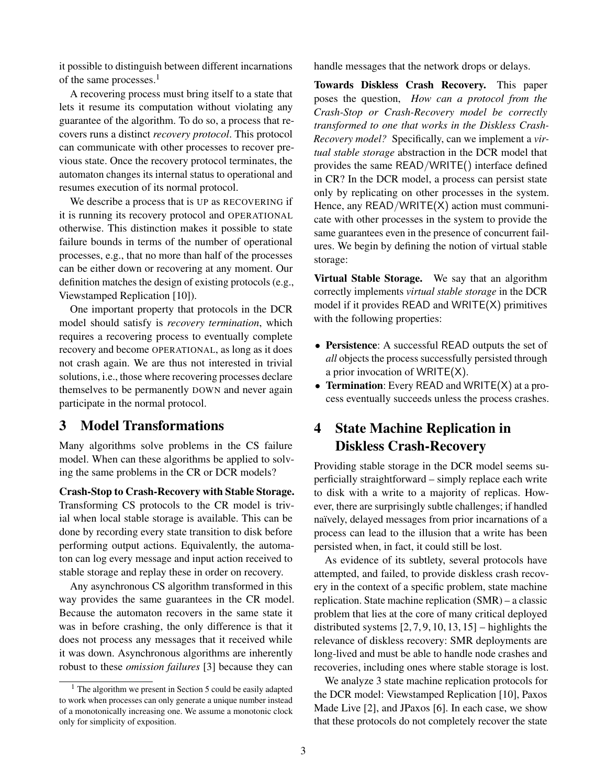it possible to distinguish between different incarnations of the same processes.<sup>[1](#page-2-0)</sup>

A recovering process must bring itself to a state that lets it resume its computation without violating any guarantee of the algorithm. To do so, a process that recovers runs a distinct *recovery protocol*. This protocol can communicate with other processes to recover previous state. Once the recovery protocol terminates, the automaton changes its internal status to operational and resumes execution of its normal protocol.

We describe a process that is UP as RECOVERING if it is running its recovery protocol and OPERATIONAL otherwise. This distinction makes it possible to state failure bounds in terms of the number of operational processes, e.g., that no more than half of the processes can be either down or recovering at any moment. Our definition matches the design of existing protocols (e.g., Viewstamped Replication [\[10\]](#page-10-2)).

One important property that protocols in the DCR model should satisfy is *recovery termination*, which requires a recovering process to eventually complete recovery and become OPERATIONAL, as long as it does not crash again. We are thus not interested in trivial solutions, i.e., those where recovering processes declare themselves to be permanently DOWN and never again participate in the normal protocol.

### <span id="page-2-1"></span>3 Model Transformations

Many algorithms solve problems in the CS failure model. When can these algorithms be applied to solving the same problems in the CR or DCR models?

Crash-Stop to Crash-Recovery with Stable Storage. Transforming CS protocols to the CR model is trivial when local stable storage is available. This can be done by recording every state transition to disk before performing output actions. Equivalently, the automaton can log every message and input action received to stable storage and replay these in order on recovery.

Any asynchronous CS algorithm transformed in this way provides the same guarantees in the CR model. Because the automaton recovers in the same state it was in before crashing, the only difference is that it does not process any messages that it received while it was down. Asynchronous algorithms are inherently robust to these *omission failures* [\[3\]](#page-10-3) because they can

handle messages that the network drops or delays.

Towards Diskless Crash Recovery. This paper poses the question, *How can a protocol from the Crash-Stop or Crash-Recovery model be correctly transformed to one that works in the Diskless Crash-Recovery model?* Specifically, can we implement a *virtual stable storage* abstraction in the DCR model that provides the same READ/WRITE() interface defined in CR? In the DCR model, a process can persist state only by replicating on other processes in the system. Hence, any READ/WRITE(X) action must communicate with other processes in the system to provide the same guarantees even in the presence of concurrent failures. We begin by defining the notion of virtual stable storage:

Virtual Stable Storage. We say that an algorithm correctly implements *virtual stable storage* in the DCR model if it provides READ and WRITE(X) primitives with the following properties:

- Persistence: A successful READ outputs the set of *all* objects the process successfully persisted through a prior invocation of WRITE(X).
- Termination: Every READ and WRITE(X) at a process eventually succeeds unless the process crashes.

## <span id="page-2-2"></span>4 State Machine Replication in Diskless Crash-Recovery

Providing stable storage in the DCR model seems superficially straightforward – simply replace each write to disk with a write to a majority of replicas. However, there are surprisingly subtle challenges; if handled naïvely, delayed messages from prior incarnations of a process can lead to the illusion that a write has been persisted when, in fact, it could still be lost.

As evidence of its subtlety, several protocols have attempted, and failed, to provide diskless crash recovery in the context of a specific problem, state machine replication. State machine replication (SMR) – a classic problem that lies at the core of many critical deployed distributed systems  $[2, 7, 9, 10, 13, 15]$  $[2, 7, 9, 10, 13, 15]$  $[2, 7, 9, 10, 13, 15]$  $[2, 7, 9, 10, 13, 15]$  $[2, 7, 9, 10, 13, 15]$  $[2, 7, 9, 10, 13, 15]$  – highlights the relevance of diskless recovery: SMR deployments are long-lived and must be able to handle node crashes and recoveries, including ones where stable storage is lost.

We analyze 3 state machine replication protocols for the DCR model: Viewstamped Replication [\[10\]](#page-10-2), Paxos Made Live [\[2\]](#page-10-4), and JPaxos [\[6\]](#page-10-9). In each case, we show that these protocols do not completely recover the state

<span id="page-2-0"></span><sup>&</sup>lt;sup>1</sup> The algorithm we present in [Section 5](#page-4-0) could be easily adapted to work when processes can only generate a unique number instead of a monotonically increasing one. We assume a monotonic clock only for simplicity of exposition.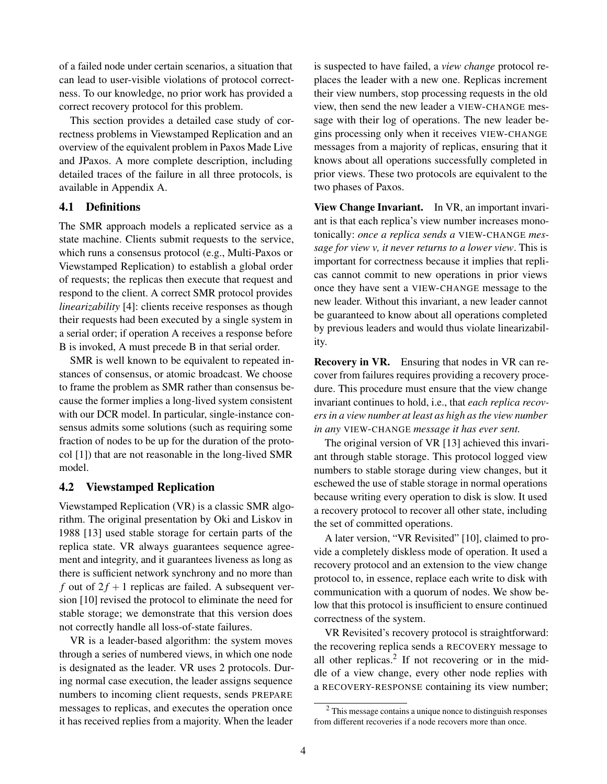of a failed node under certain scenarios, a situation that can lead to user-visible violations of protocol correctness. To our knowledge, no prior work has provided a correct recovery protocol for this problem.

This section provides a detailed case study of correctness problems in Viewstamped Replication and an overview of the equivalent problem in Paxos Made Live and JPaxos. A more complete description, including detailed traces of the failure in all three protocols, is available in [Appendix A.](#page-11-0)

#### 4.1 Definitions

The SMR approach models a replicated service as a state machine. Clients submit requests to the service, which runs a consensus protocol (e.g., Multi-Paxos or Viewstamped Replication) to establish a global order of requests; the replicas then execute that request and respond to the client. A correct SMR protocol provides *linearizability* [\[4\]](#page-10-10): clients receive responses as though their requests had been executed by a single system in a serial order; if operation A receives a response before B is invoked, A must precede B in that serial order.

SMR is well known to be equivalent to repeated instances of consensus, or atomic broadcast. We choose to frame the problem as SMR rather than consensus because the former implies a long-lived system consistent with our DCR model. In particular, single-instance consensus admits some solutions (such as requiring some fraction of nodes to be up for the duration of the protocol [\[1\]](#page-10-0)) that are not reasonable in the long-lived SMR model.

#### 4.2 Viewstamped Replication

Viewstamped Replication (VR) is a classic SMR algorithm. The original presentation by Oki and Liskov in 1988 [\[13\]](#page-10-7) used stable storage for certain parts of the replica state. VR always guarantees sequence agreement and integrity, and it guarantees liveness as long as there is sufficient network synchrony and no more than *f* out of  $2f + 1$  replicas are failed. A subsequent version [\[10\]](#page-10-2) revised the protocol to eliminate the need for stable storage; we demonstrate that this version does not correctly handle all loss-of-state failures.

VR is a leader-based algorithm: the system moves through a series of numbered views, in which one node is designated as the leader. VR uses 2 protocols. During normal case execution, the leader assigns sequence numbers to incoming client requests, sends PREPARE messages to replicas, and executes the operation once it has received replies from a majority. When the leader

is suspected to have failed, a *view change* protocol replaces the leader with a new one. Replicas increment their view numbers, stop processing requests in the old view, then send the new leader a VIEW-CHANGE message with their log of operations. The new leader begins processing only when it receives VIEW-CHANGE messages from a majority of replicas, ensuring that it knows about all operations successfully completed in prior views. These two protocols are equivalent to the two phases of Paxos.

View Change Invariant. In VR, an important invariant is that each replica's view number increases monotonically: *once a replica sends a* VIEW-CHANGE *message for view v, it never returns to a lower view*. This is important for correctness because it implies that replicas cannot commit to new operations in prior views once they have sent a VIEW-CHANGE message to the new leader. Without this invariant, a new leader cannot be guaranteed to know about all operations completed by previous leaders and would thus violate linearizability.

Recovery in VR. Ensuring that nodes in VR can recover from failures requires providing a recovery procedure. This procedure must ensure that the view change invariant continues to hold, i.e., that *each replica recovers in a view number at least as high as the view number in any* VIEW-CHANGE *message it has ever sent.*

The original version of VR [\[13\]](#page-10-7) achieved this invariant through stable storage. This protocol logged view numbers to stable storage during view changes, but it eschewed the use of stable storage in normal operations because writing every operation to disk is slow. It used a recovery protocol to recover all other state, including the set of committed operations.

A later version, "VR Revisited" [\[10\]](#page-10-2), claimed to provide a completely diskless mode of operation. It used a recovery protocol and an extension to the view change protocol to, in essence, replace each write to disk with communication with a quorum of nodes. We show below that this protocol is insufficient to ensure continued correctness of the system.

VR Revisited's recovery protocol is straightforward: the recovering replica sends a RECOVERY message to all other replicas.<sup>[2](#page-3-0)</sup> If not recovering or in the middle of a view change, every other node replies with a RECOVERY-RESPONSE containing its view number;

<span id="page-3-0"></span><sup>2</sup> This message contains a unique nonce to distinguish responses from different recoveries if a node recovers more than once.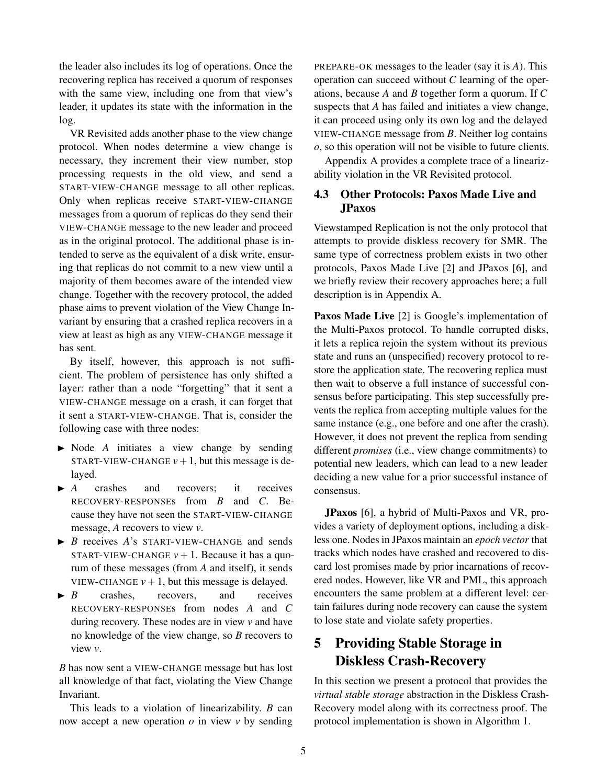the leader also includes its log of operations. Once the recovering replica has received a quorum of responses with the same view, including one from that view's leader, it updates its state with the information in the log.

VR Revisited adds another phase to the view change protocol. When nodes determine a view change is necessary, they increment their view number, stop processing requests in the old view, and send a START-VIEW-CHANGE message to all other replicas. Only when replicas receive START-VIEW-CHANGE messages from a quorum of replicas do they send their VIEW-CHANGE message to the new leader and proceed as in the original protocol. The additional phase is intended to serve as the equivalent of a disk write, ensuring that replicas do not commit to a new view until a majority of them becomes aware of the intended view change. Together with the recovery protocol, the added phase aims to prevent violation of the View Change Invariant by ensuring that a crashed replica recovers in a view at least as high as any VIEW-CHANGE message it has sent.

By itself, however, this approach is not sufficient. The problem of persistence has only shifted a layer: rather than a node "forgetting" that it sent a VIEW-CHANGE message on a crash, it can forget that it sent a START-VIEW-CHANGE. That is, consider the following case with three nodes:

- $\triangleright$  Node *A* initiates a view change by sending START-VIEW-CHANGE  $v+1$ , but this message is delayed.
- $\blacktriangleright$  *A* crashes and recovers; it receives RECOVERY-RESPONSEs from *B* and *C*. Because they have not seen the START-VIEW-CHANGE message, *A* recovers to view *v*.
- $\triangleright$  *B* receives *A*'s START-VIEW-CHANGE and sends START-VIEW-CHANGE  $v+1$ . Because it has a quorum of these messages (from *A* and itself), it sends VIEW-CHANGE  $v + 1$ , but this message is delayed.
- $\blacktriangleright$  *B* crashes, recovers, and receives RECOVERY-RESPONSEs from nodes *A* and *C* during recovery. These nodes are in view *v* and have no knowledge of the view change, so *B* recovers to view *v*.

*B* has now sent a VIEW-CHANGE message but has lost all knowledge of that fact, violating the View Change Invariant.

This leads to a violation of linearizability. *B* can now accept a new operation *o* in view *v* by sending PREPARE-OK messages to the leader (say it is *A*). This operation can succeed without *C* learning of the operations, because *A* and *B* together form a quorum. If *C* suspects that *A* has failed and initiates a view change, it can proceed using only its own log and the delayed VIEW-CHANGE message from *B*. Neither log contains *o*, so this operation will not be visible to future clients.

[Appendix A](#page-11-0) provides a complete trace of a linearizability violation in the VR Revisited protocol.

### 4.3 Other Protocols: Paxos Made Live and JPaxos

Viewstamped Replication is not the only protocol that attempts to provide diskless recovery for SMR. The same type of correctness problem exists in two other protocols, Paxos Made Live [\[2\]](#page-10-4) and JPaxos [\[6\]](#page-10-9), and we briefly review their recovery approaches here; a full description is in [Appendix A.](#page-11-0)

Paxos Made Live [\[2\]](#page-10-4) is Google's implementation of the Multi-Paxos protocol. To handle corrupted disks, it lets a replica rejoin the system without its previous state and runs an (unspecified) recovery protocol to restore the application state. The recovering replica must then wait to observe a full instance of successful consensus before participating. This step successfully prevents the replica from accepting multiple values for the same instance (e.g., one before and one after the crash). However, it does not prevent the replica from sending different *promises* (i.e., view change commitments) to potential new leaders, which can lead to a new leader deciding a new value for a prior successful instance of consensus.

JPaxos [\[6\]](#page-10-9), a hybrid of Multi-Paxos and VR, provides a variety of deployment options, including a diskless one. Nodes in JPaxos maintain an *epoch vector* that tracks which nodes have crashed and recovered to discard lost promises made by prior incarnations of recovered nodes. However, like VR and PML, this approach encounters the same problem at a different level: certain failures during node recovery can cause the system to lose state and violate safety properties.

# <span id="page-4-0"></span>5 Providing Stable Storage in Diskless Crash-Recovery

In this section we present a protocol that provides the *virtual stable storage* abstraction in the Diskless Crash-Recovery model along with its correctness proof. The protocol implementation is shown in Algorithm [1.](#page-5-0)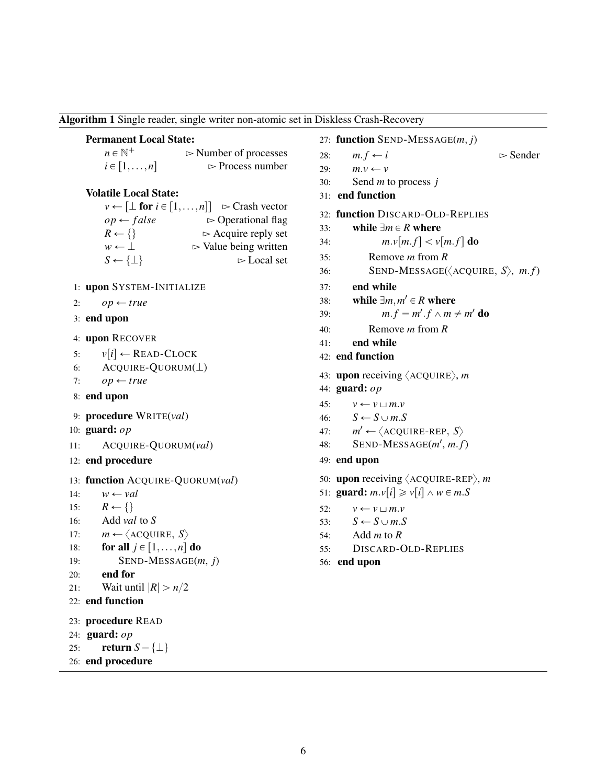<span id="page-5-0"></span>Algorithm 1 Single reader, single writer non-atomic set in Diskless Crash-Recovery

#### Permanent Local State:

| $n \in \mathbb{N}^+$ | $\triangleright$ Number of processes |
|----------------------|--------------------------------------|
| $i \in [1,\ldots,n]$ | $\triangleright$ Process number      |

#### Volatile Local State:

|                            | $v \leftarrow [\perp$ for $i \in [1, \ldots, n]]$ $\triangleright$ Crash vector |
|----------------------------|---------------------------------------------------------------------------------|
| $op \leftarrow false$      | $\triangleright$ Operational flag                                               |
| $R \leftarrow \{\}$        | $\triangleright$ Acquire reply set                                              |
| $w \leftarrow \perp$       | $\triangleright$ Value being written                                            |
| $S \leftarrow {\{\perp\}}$ | $\triangleright$ Local set                                                      |

- 1: upon SYSTEM-INITIALIZE
- 2:  $op \leftarrow true$
- 3: end upon
- 4: upon RECOVER
- 5:  $v[i] \leftarrow \text{READ-CLOCK}$
- 6: ACQUIRE-QUORUM $(L)$
- 7:  $op \leftarrow true$
- 8: end upon
- 9: procedure WRITE(*val*)
- 10: guard: *op*
- 11: ACQUIRE-QUORUM(*val*)
- 12: end procedure

```
13: function ACQUIRE-QUORUM(val)
```
- 14:  $w \leftarrow val$
- 15:  $R \leftarrow \{\}$
- 16: Add *val* to *S*
- 17:  $m \leftarrow \langle \text{ACQUIRE}, S \rangle$

```
18: for all j \in [1, \ldots, n] do
```

```
19: SEND-MESSAGE(m, j)
```

```
20: end for
```

```
21: Wait until |R| > n/2
```

```
22: end function
```

```
23: procedure READ
```

```
24: guard: op
```

```
25: return S - \{\perp\}
```

```
26: end procedure
```

```
27: function SEND-MESSAGE(m, j)
```
- 28:  $m.f \leftarrow i$   $\triangleright$  Sender
- 29:  $m.v \leftarrow v$
- 30: Send *m* to process *j*
- 31: end function
- 32: function DISCARD-OLD-REPLIES
- 33: while  $\exists m \in R$  where
- 34:  $m.v[m.f] < v[m.f] \textbf{d}o$
- 35: Remove *m* from *R*
- 36: **SEND-MESSAGE(** $\langle$ **ACQUIRE,** *S* $\rangle$ , *m.f*)
- 37: end while
- 38: while  $\exists m, m' \in R$  where
- 39:  $m.f = m'.f \wedge m \neq m'$  do
- 40: Remove *m* from *R*
- 41: end while
- 42: end function
- 43: **upon** receiving  $\langle$  ACQUIRE $\rangle$ , *m*
- 44: guard: *op*
- 45:  $v \leftarrow v \sqcup m.v$
- 46:  $S \leftarrow S \cup m.S$
- 47: *m*  $m' \leftarrow \langle \text{ACQUIRE-REP}, S \rangle$
- 48: **SEND-MESSAGE** $(m', m.f)$
- 49: end upon
- 50: upon receiving  $\langle$  ACQUIRE-REP $\rangle$ , *m*
- 51: **guard:**  $m.v[i] \geq v[i] \land w \in m.S$
- 52:  $v \leftarrow v \sqcup m.v$
- 53:  $S \leftarrow S \cup m.S$
- 54: Add *m* to *R*
- 55: DISCARD-OLD-REPLIES
- 56: end upon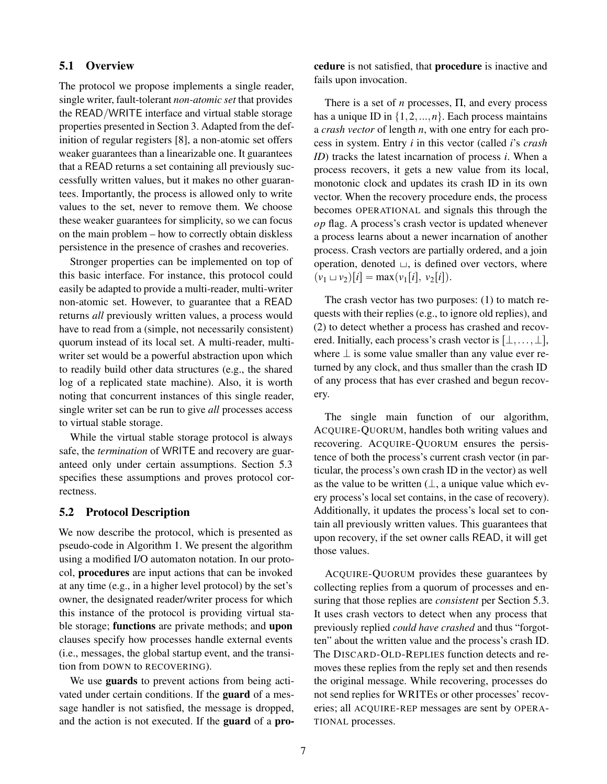#### 5.1 Overview

The protocol we propose implements a single reader, single writer, fault-tolerant *non-atomic set* that provides the READ/WRITE interface and virtual stable storage properties presented in Section [3.](#page-2-1) Adapted from the definition of regular registers [\[8\]](#page-10-11), a non-atomic set offers weaker guarantees than a linearizable one. It guarantees that a READ returns a set containing all previously successfully written values, but it makes no other guarantees. Importantly, the process is allowed only to write values to the set, never to remove them. We choose these weaker guarantees for simplicity, so we can focus on the main problem – how to correctly obtain diskless persistence in the presence of crashes and recoveries.

Stronger properties can be implemented on top of this basic interface. For instance, this protocol could easily be adapted to provide a multi-reader, multi-writer non-atomic set. However, to guarantee that a READ returns *all* previously written values, a process would have to read from a (simple, not necessarily consistent) quorum instead of its local set. A multi-reader, multiwriter set would be a powerful abstraction upon which to readily build other data structures (e.g., the shared log of a replicated state machine). Also, it is worth noting that concurrent instances of this single reader, single writer set can be run to give *all* processes access to virtual stable storage.

While the virtual stable storage protocol is always safe, the *termination* of WRITE and recovery are guaranteed only under certain assumptions. Section [5.3](#page-7-0) specifies these assumptions and proves protocol correctness.

#### 5.2 Protocol Description

We now describe the protocol, which is presented as pseudo-code in Algorithm [1.](#page-5-0) We present the algorithm using a modified I/O automaton notation. In our protocol, procedures are input actions that can be invoked at any time (e.g., in a higher level protocol) by the set's owner, the designated reader/writer process for which this instance of the protocol is providing virtual stable storage; functions are private methods; and upon clauses specify how processes handle external events (i.e., messages, the global startup event, and the transition from DOWN to RECOVERING).

We use **guards** to prevent actions from being activated under certain conditions. If the guard of a message handler is not satisfied, the message is dropped, and the action is not executed. If the guard of a procedure is not satisfied, that procedure is inactive and fails upon invocation.

There is a set of *n* processes, Π, and every process has a unique ID in  $\{1, 2, ..., n\}$ . Each process maintains a *crash vector* of length *n*, with one entry for each process in system. Entry *i* in this vector (called *i*'s *crash ID*) tracks the latest incarnation of process *i*. When a process recovers, it gets a new value from its local, monotonic clock and updates its crash ID in its own vector. When the recovery procedure ends, the process becomes OPERATIONAL and signals this through the *op* flag. A process's crash vector is updated whenever a process learns about a newer incarnation of another process. Crash vectors are partially ordered, and a join operation, denoted  $\cup$ , is defined over vectors, where  $(v_1 \sqcup v_2)[i] = \max(v_1[i], v_2[i]).$ 

The crash vector has two purposes: (1) to match requests with their replies (e.g., to ignore old replies), and (2) to detect whether a process has crashed and recovered. Initially, each process's crash vector is  $[\bot, \ldots, \bot]$ , where  $\perp$  is some value smaller than any value ever returned by any clock, and thus smaller than the crash ID of any process that has ever crashed and begun recovery.

The single main function of our algorithm, ACQUIRE-QUORUM, handles both writing values and recovering. ACQUIRE-QUORUM ensures the persistence of both the process's current crash vector (in particular, the process's own crash ID in the vector) as well as the value to be written  $(L, a$  unique value which every process's local set contains, in the case of recovery). Additionally, it updates the process's local set to contain all previously written values. This guarantees that upon recovery, if the set owner calls READ, it will get those values.

ACQUIRE-QUORUM provides these guarantees by collecting replies from a quorum of processes and ensuring that those replies are *consistent* per [Section 5.3.](#page-7-0) It uses crash vectors to detect when any process that previously replied *could have crashed* and thus "forgotten" about the written value and the process's crash ID. The DISCARD-OLD-REPLIES function detects and removes these replies from the reply set and then resends the original message. While recovering, processes do not send replies for WRITEs or other processes' recoveries; all ACQUIRE-REP messages are sent by OPERA-TIONAL processes.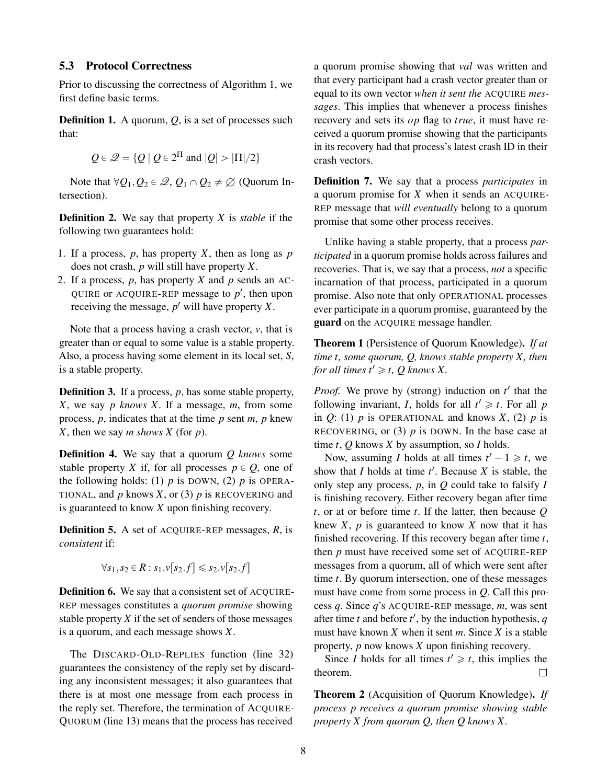#### <span id="page-7-0"></span>5.3 Protocol Correctness

Prior to discussing the correctness of Algorithm [1,](#page-5-0) we first define basic terms.

Definition 1. A quorum, *Q*, is a set of processes such that:

$$
Q \in \mathcal{Q} = \{ Q \mid Q \in 2^{\Pi} \text{ and } |Q| > |\Pi|/2 \}
$$

Note that  $\forall Q_1, Q_2 \in \mathcal{Q}, Q_1 \cap Q_2 \neq \emptyset$  (Quorum Intersection).

Definition 2. We say that property *X* is *stable* if the following two guarantees hold:

- 1. If a process, *p*, has property *X*, then as long as *p* does not crash, *p* will still have property *X*.
- 2. If a process, *p*, has property *X* and *p* sends an AC-QUIRE or ACQUIRE-REP message to  $p'$ , then upon receiving the message,  $p'$  will have property  $X$ .

Note that a process having a crash vector, *v*, that is greater than or equal to some value is a stable property. Also, a process having some element in its local set, *S*, is a stable property.

Definition 3. If a process, *p*, has some stable property, *X*, we say *p knows X*. If a message, *m*, from some process, *p*, indicates that at the time *p* sent *m*, *p* knew *X*, then we say *m shows X* (for *p*).

Definition 4. We say that a quorum *Q knows* some stable property *X* if, for all processes  $p \in Q$ , one of the following holds: (1)  $p$  is DOWN, (2)  $p$  is OPERA-TIONAL, and  $p$  knows  $X$ , or (3)  $p$  is RECOVERING and is guaranteed to know *X* upon finishing recovery.

Definition 5. A set of ACQUIRE-REP messages, *R*, is *consistent* if:

$$
\forall s_1, s_2 \in R : s_1.v[s_2.f] \leq s_2.v[s_2.f]
$$

Definition 6. We say that a consistent set of ACQUIRE-REP messages constitutes a *quorum promise* showing stable property *X* if the set of senders of those messages is a quorum, and each message shows *X*.

The DISCARD-OLD-REPLIES function (line [32\)](#page-5-0) guarantees the consistency of the reply set by discarding any inconsistent messages; it also guarantees that there is at most one message from each process in the reply set. Therefore, the termination of ACQUIRE-QUORUM (line [13\)](#page-5-0) means that the process has received

a quorum promise showing that *val* was written and that every participant had a crash vector greater than or equal to its own vector *when it sent the* ACQUIRE *messages*. This implies that whenever a process finishes recovery and sets its *op* flag to *true*, it must have received a quorum promise showing that the participants in its recovery had that process's latest crash ID in their crash vectors.

Definition 7. We say that a process *participates* in a quorum promise for *X* when it sends an ACQUIRE-REP message that *will eventually* belong to a quorum promise that some other process receives.

Unlike having a stable property, that a process *participated* in a quorum promise holds across failures and recoveries. That is, we say that a process, *not* a specific incarnation of that process, participated in a quorum promise. Also note that only OPERATIONAL processes ever participate in a quorum promise, guaranteed by the guard on the ACQUIRE message handler.

<span id="page-7-1"></span>Theorem 1 (Persistence of Quorum Knowledge). *If at time t, some quorum, Q, knows stable property X, then for all times t'*  $\geq t$ *, Q knows X.* 

Proof. We prove by (strong) induction on  $t'$  that the following invariant, *I*, holds for all  $t' \geq t$ . For all *p* in  $Q$ : (1)  $p$  is OPERATIONAL and knows  $X$ , (2)  $p$  is RECOVERING, or  $(3)$  *p* is DOWN. In the base case at time *t*, *Q* knows *X* by assumption, so *I* holds.

Now, assuming *I* holds at all times  $t' - 1 \geq t$ , we show that *I* holds at time *t* 1 . Because *X* is stable, the only step any process, *p*, in *Q* could take to falsify *I* is finishing recovery. Either recovery began after time *t*, or at or before time *t*. If the latter, then because *Q* knew  $X$ ,  $p$  is guaranteed to know  $X$  now that it has finished recovering. If this recovery began after time *t*, then *p* must have received some set of ACQUIRE-REP messages from a quorum, all of which were sent after time *t*. By quorum intersection, one of these messages must have come from some process in *Q*. Call this process *q*. Since *q*'s ACQUIRE-REP message, *m*, was sent after time *t* and before  $t'$ , by the induction hypothesis,  $q$ must have known *X* when it sent *m*. Since *X* is a stable property, *p* now knows *X* upon finishing recovery.

Since *I* holds for all times  $t' \geq t$ , this implies the theorem.  $\Box$ 

<span id="page-7-2"></span>Theorem 2 (Acquisition of Quorum Knowledge). *If process p receives a quorum promise showing stable property X from quorum Q, then Q knows X.*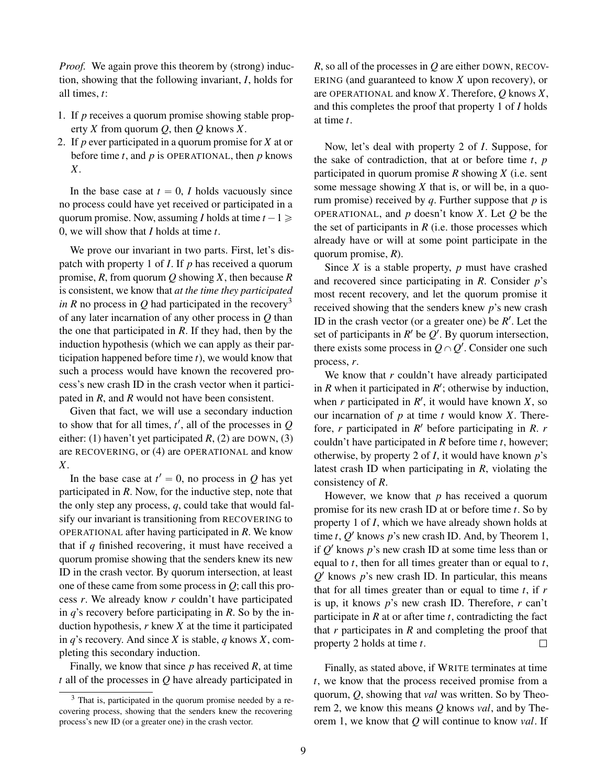*Proof.* We again prove this theorem by (strong) induction, showing that the following invariant, *I*, holds for all times, *t*:

- <span id="page-8-0"></span>1. If *p* receives a quorum promise showing stable property *X* from quorum *Q*, then *Q* knows *X*.
- <span id="page-8-2"></span>2. If *p* ever participated in a quorum promise for *X* at or before time *t*, and *p* is OPERATIONAL, then *p* knows *X*.

In the base case at  $t = 0$ , *I* holds vacuously since no process could have yet received or participated in a quorum promise. Now, assuming *I* holds at time  $t - 1 \geq$ 0, we will show that *I* holds at time *t*.

We prove our invariant in two parts. First, let's dispatch with property [1](#page-8-0) of *I*. If *p* has received a quorum promise, *R*, from quorum *Q* showing *X*, then because *R* is consistent, we know that *at the time they participated in R* no process in *Q* had participated in the recovery<sup>[3](#page-8-1)</sup> of any later incarnation of any other process in *Q* than the one that participated in *R*. If they had, then by the induction hypothesis (which we can apply as their participation happened before time *t*), we would know that such a process would have known the recovered process's new crash ID in the crash vector when it participated in *R*, and *R* would not have been consistent.

Given that fact, we will use a secondary induction to show that for all times,  $t'$ , all of the processes in  $Q$ either: (1) haven't yet participated *R*, (2) are DOWN, (3) are RECOVERING, or (4) are OPERATIONAL and know *X*.

In the base case at  $t' = 0$ , no process in *Q* has yet participated in *R*. Now, for the inductive step, note that the only step any process, *q*, could take that would falsify our invariant is transitioning from RECOVERING to OPERATIONAL after having participated in *R*. We know that if *q* finished recovering, it must have received a quorum promise showing that the senders knew its new ID in the crash vector. By quorum intersection, at least one of these came from some process in *Q*; call this process *r*. We already know *r* couldn't have participated in *q*'s recovery before participating in *R*. So by the induction hypothesis, *r* knew *X* at the time it participated in *q*'s recovery. And since *X* is stable, *q* knows *X*, completing this secondary induction.

Finally, we know that since *p* has received *R*, at time *t* all of the processes in *Q* have already participated in *R*, so all of the processes in *Q* are either DOWN, RECOV-ERING (and guaranteed to know *X* upon recovery), or are OPERATIONAL and know *X*. Therefore, *Q* knows *X*, and this completes the proof that property [1](#page-8-0) of *I* holds at time *t*.

Now, let's deal with property [2](#page-8-2) of *I*. Suppose, for the sake of contradiction, that at or before time *t*, *p* participated in quorum promise *R* showing *X* (i.e. sent some message showing  $X$  that is, or will be, in a quorum promise) received by *q*. Further suppose that *p* is OPERATIONAL, and *p* doesn't know *X*. Let *Q* be the the set of participants in  $R$  (i.e. those processes which already have or will at some point participate in the quorum promise, *R*).

Since *X* is a stable property, *p* must have crashed and recovered since participating in *R*. Consider *p*'s most recent recovery, and let the quorum promise it received showing that the senders knew *p*'s new crash ID in the crash vector (or a greater one) be  $R'$ . Let the set of participants in  $R'$  be  $Q'$ . By quorum intersection, there exists some process in  $Q \cap Q'$ . Consider one such process, *r*.

We know that *r* couldn't have already participated in  $R$  when it participated in  $R'$ ; otherwise by induction, when  $r$  participated in  $R'$ , it would have known  $X$ , so our incarnation of *p* at time *t* would know *X*. Therefore, *r* participated in *R* <sup>1</sup> before participating in *R*. *r* couldn't have participated in *R* before time *t*, however; otherwise, by property [2](#page-8-2) of *I*, it would have known *p*'s latest crash ID when participating in *R*, violating the consistency of *R*.

However, we know that *p* has received a quorum promise for its new crash ID at or before time *t*. So by property [1](#page-8-0) of *I*, which we have already shown holds at time  $t$ ,  $Q'$  knows  $p$ 's new crash ID. And, by [Theorem 1,](#page-7-1) if *Q* <sup>1</sup> knows *p*'s new crash ID at some time less than or equal to *t*, then for all times greater than or equal to *t*,  $Q'$  knows  $p'$ s new crash ID. In particular, this means that for all times greater than or equal to time *t*, if *r* is up, it knows *p*'s new crash ID. Therefore, *r* can't participate in *R* at or after time *t*, contradicting the fact that *r* participates in *R* and completing the proof that property [2](#page-8-2) holds at time *t*.  $\Box$ 

Finally, as stated above, if WRITE terminates at time *t*, we know that the process received promise from a quorum, *Q*, showing that *val* was written. So by [Theo](#page-7-2)[rem 2,](#page-7-2) we know this means *Q* knows *val*, and by [The](#page-7-1)[orem 1,](#page-7-1) we know that *Q* will continue to know *val*. If

<span id="page-8-1"></span><sup>3</sup> That is, participated in the quorum promise needed by a recovering process, showing that the senders knew the recovering process's new ID (or a greater one) in the crash vector.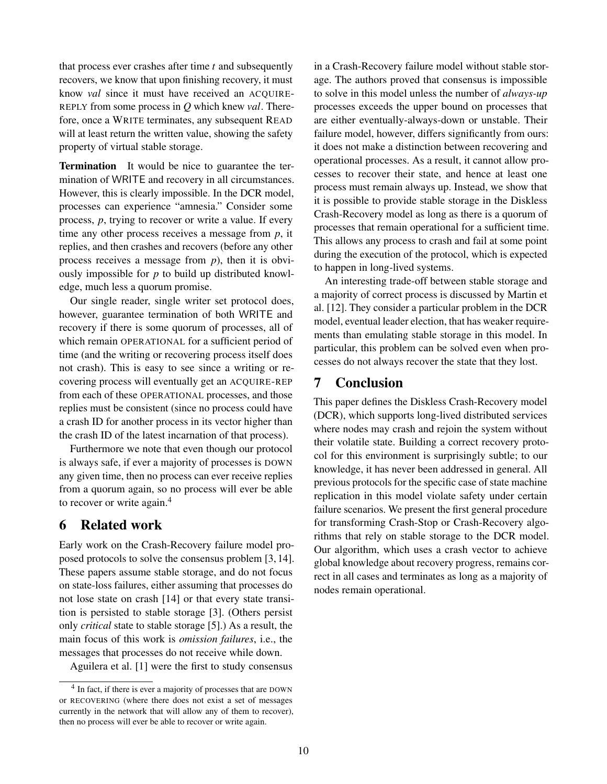that process ever crashes after time *t* and subsequently recovers, we know that upon finishing recovery, it must know *val* since it must have received an ACQUIRE-REPLY from some process in *Q* which knew *val*. Therefore, once a WRITE terminates, any subsequent READ will at least return the written value, showing the safety property of virtual stable storage.

Termination It would be nice to guarantee the termination of WRITE and recovery in all circumstances. However, this is clearly impossible. In the DCR model, processes can experience "amnesia." Consider some process, *p*, trying to recover or write a value. If every time any other process receives a message from *p*, it replies, and then crashes and recovers (before any other process receives a message from *p*), then it is obviously impossible for *p* to build up distributed knowledge, much less a quorum promise.

Our single reader, single writer set protocol does, however, guarantee termination of both WRITE and recovery if there is some quorum of processes, all of which remain OPERATIONAL for a sufficient period of time (and the writing or recovering process itself does not crash). This is easy to see since a writing or recovering process will eventually get an ACQUIRE-REP from each of these OPERATIONAL processes, and those replies must be consistent (since no process could have a crash ID for another process in its vector higher than the crash ID of the latest incarnation of that process).

Furthermore we note that even though our protocol is always safe, if ever a majority of processes is DOWN any given time, then no process can ever receive replies from a quorum again, so no process will ever be able to recover or write again.<sup>[4](#page-9-0)</sup>

### 6 Related work

Early work on the Crash-Recovery failure model proposed protocols to solve the consensus problem [\[3,](#page-10-3) [14\]](#page-10-12). These papers assume stable storage, and do not focus on state-loss failures, either assuming that processes do not lose state on crash [\[14\]](#page-10-12) or that every state transition is persisted to stable storage [\[3\]](#page-10-3). (Others persist only *critical* state to stable storage [\[5\]](#page-10-13).) As a result, the main focus of this work is *omission failures*, i.e., the messages that processes do not receive while down.

Aguilera et al. [\[1\]](#page-10-0) were the first to study consensus

in a Crash-Recovery failure model without stable storage. The authors proved that consensus is impossible to solve in this model unless the number of *always-up* processes exceeds the upper bound on processes that are either eventually-always-down or unstable. Their failure model, however, differs significantly from ours: it does not make a distinction between recovering and operational processes. As a result, it cannot allow processes to recover their state, and hence at least one process must remain always up. Instead, we show that it is possible to provide stable storage in the Diskless Crash-Recovery model as long as there is a quorum of processes that remain operational for a sufficient time. This allows any process to crash and fail at some point during the execution of the protocol, which is expected to happen in long-lived systems.

An interesting trade-off between stable storage and a majority of correct process is discussed by Martin et al. [\[12\]](#page-10-14). They consider a particular problem in the DCR model, eventual leader election, that has weaker requirements than emulating stable storage in this model. In particular, this problem can be solved even when processes do not always recover the state that they lost.

### 7 Conclusion

This paper defines the Diskless Crash-Recovery model (DCR), which supports long-lived distributed services where nodes may crash and rejoin the system without their volatile state. Building a correct recovery protocol for this environment is surprisingly subtle; to our knowledge, it has never been addressed in general. All previous protocols for the specific case of state machine replication in this model violate safety under certain failure scenarios. We present the first general procedure for transforming Crash-Stop or Crash-Recovery algorithms that rely on stable storage to the DCR model. Our algorithm, which uses a crash vector to achieve global knowledge about recovery progress, remains correct in all cases and terminates as long as a majority of nodes remain operational.

<span id="page-9-0"></span><sup>&</sup>lt;sup>4</sup> In fact, if there is ever a majority of processes that are DOWN or RECOVERING (where there does not exist a set of messages currently in the network that will allow any of them to recover), then no process will ever be able to recover or write again.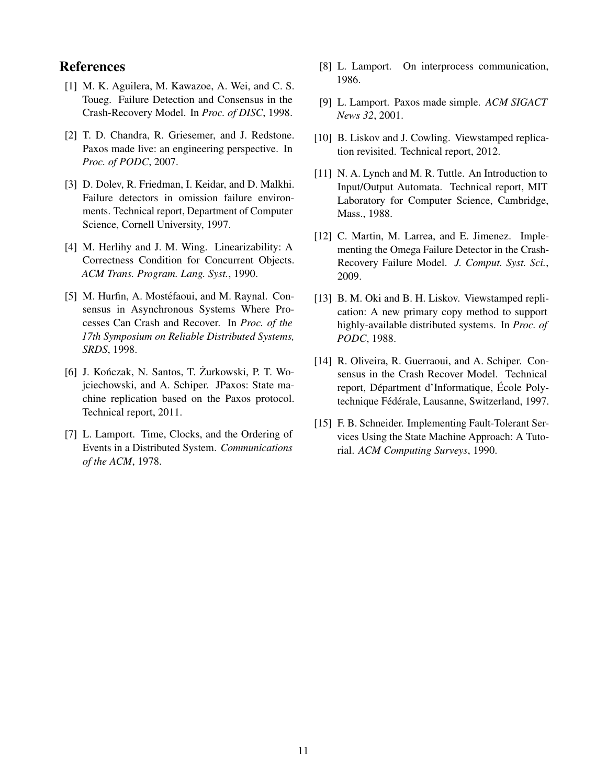### References

- <span id="page-10-0"></span>[1] M. K. Aguilera, M. Kawazoe, A. Wei, and C. S. Toueg. Failure Detection and Consensus in the Crash-Recovery Model. In *Proc. of DISC*, 1998.
- <span id="page-10-4"></span>[2] T. D. Chandra, R. Griesemer, and J. Redstone. Paxos made live: an engineering perspective. In *Proc. of PODC*, 2007.
- <span id="page-10-3"></span>[3] D. Dolev, R. Friedman, I. Keidar, and D. Malkhi. Failure detectors in omission failure environments. Technical report, Department of Computer Science, Cornell University, 1997.
- <span id="page-10-10"></span>[4] M. Herlihy and J. M. Wing. Linearizability: A Correctness Condition for Concurrent Objects. *ACM Trans. Program. Lang. Syst.*, 1990.
- <span id="page-10-13"></span>[5] M. Hurfin, A. Mostéfaoui, and M. Raynal. Consensus in Asynchronous Systems Where Processes Can Crash and Recover. In *Proc. of the 17th Symposium on Reliable Distributed Systems, SRDS*, 1998.
- <span id="page-10-9"></span>[6] J. Kończak, N. Santos, T. Żurkowski, P. T. Wojciechowski, and A. Schiper. JPaxos: State machine replication based on the Paxos protocol. Technical report, 2011.
- <span id="page-10-5"></span>[7] L. Lamport. Time, Clocks, and the Ordering of Events in a Distributed System. *Communications of the ACM*, 1978.
- <span id="page-10-11"></span>[8] L. Lamport. On interprocess communication, 1986.
- <span id="page-10-6"></span>[9] L. Lamport. Paxos made simple. *ACM SIGACT News 32*, 2001.
- <span id="page-10-2"></span>[10] B. Liskov and J. Cowling. Viewstamped replication revisited. Technical report, 2012.
- <span id="page-10-1"></span>[11] N. A. Lynch and M. R. Tuttle. An Introduction to Input/Output Automata. Technical report, MIT Laboratory for Computer Science, Cambridge, Mass., 1988.
- <span id="page-10-14"></span>[12] C. Martin, M. Larrea, and E. Jimenez. Implementing the Omega Failure Detector in the Crash-Recovery Failure Model. *J. Comput. Syst. Sci.*, 2009.
- <span id="page-10-7"></span>[13] B. M. Oki and B. H. Liskov. Viewstamped replication: A new primary copy method to support highly-available distributed systems. In *Proc. of PODC*, 1988.
- <span id="page-10-12"></span>[14] R. Oliveira, R. Guerraoui, and A. Schiper. Consensus in the Crash Recover Model. Technical report, Départment d'Informatique, École Polytechnique Fédérale, Lausanne, Switzerland, 1997.
- <span id="page-10-8"></span>[15] F. B. Schneider. Implementing Fault-Tolerant Services Using the State Machine Approach: A Tutorial. *ACM Computing Surveys*, 1990.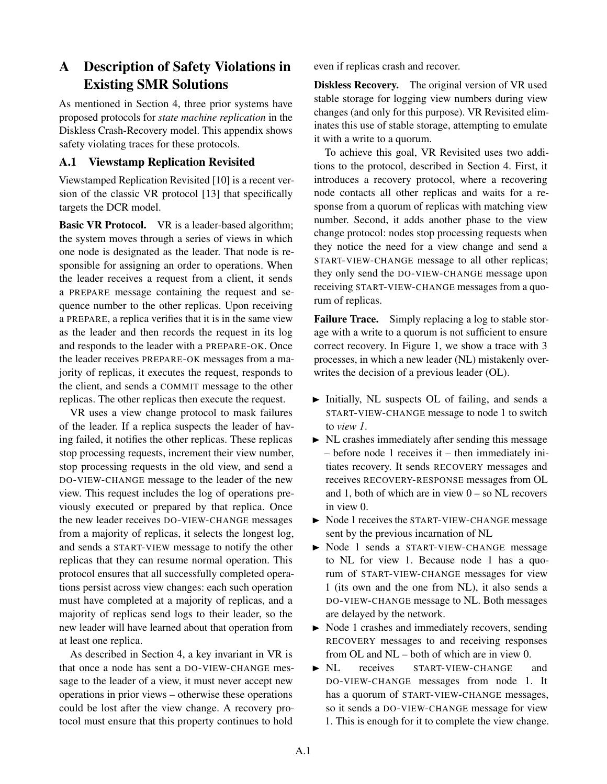# <span id="page-11-0"></span>A Description of Safety Violations in Existing SMR Solutions

As mentioned in [Section 4,](#page-2-2) three prior systems have proposed protocols for *state machine replication* in the Diskless Crash-Recovery model. This appendix shows safety violating traces for these protocols.

### A.1 Viewstamp Replication Revisited

Viewstamped Replication Revisited [\[10\]](#page-10-2) is a recent version of the classic VR protocol [\[13\]](#page-10-7) that specifically targets the DCR model.

Basic VR Protocol. VR is a leader-based algorithm; the system moves through a series of views in which one node is designated as the leader. That node is responsible for assigning an order to operations. When the leader receives a request from a client, it sends a PREPARE message containing the request and sequence number to the other replicas. Upon receiving a PREPARE, a replica verifies that it is in the same view as the leader and then records the request in its log and responds to the leader with a PREPARE-OK. Once the leader receives PREPARE-OK messages from a majority of replicas, it executes the request, responds to the client, and sends a COMMIT message to the other replicas. The other replicas then execute the request.

VR uses a view change protocol to mask failures of the leader. If a replica suspects the leader of having failed, it notifies the other replicas. These replicas stop processing requests, increment their view number, stop processing requests in the old view, and send a DO-VIEW-CHANGE message to the leader of the new view. This request includes the log of operations previously executed or prepared by that replica. Once the new leader receives DO-VIEW-CHANGE messages from a majority of replicas, it selects the longest log, and sends a START-VIEW message to notify the other replicas that they can resume normal operation. This protocol ensures that all successfully completed operations persist across view changes: each such operation must have completed at a majority of replicas, and a majority of replicas send logs to their leader, so the new leader will have learned about that operation from at least one replica.

As described in [Section 4,](#page-2-2) a key invariant in VR is that once a node has sent a DO-VIEW-CHANGE message to the leader of a view, it must never accept new operations in prior views – otherwise these operations could be lost after the view change. A recovery protocol must ensure that this property continues to hold

even if replicas crash and recover.

**Diskless Recovery.** The original version of VR used stable storage for logging view numbers during view changes (and only for this purpose). VR Revisited eliminates this use of stable storage, attempting to emulate it with a write to a quorum.

To achieve this goal, VR Revisited uses two additions to the protocol, described in [Section 4.](#page-2-2) First, it introduces a recovery protocol, where a recovering node contacts all other replicas and waits for a response from a quorum of replicas with matching view number. Second, it adds another phase to the view change protocol: nodes stop processing requests when they notice the need for a view change and send a START-VIEW-CHANGE message to all other replicas; they only send the DO-VIEW-CHANGE message upon receiving START-VIEW-CHANGE messages from a quorum of replicas.

Failure Trace. Simply replacing a log to stable storage with a write to a quorum is not sufficient to ensure correct recovery. In [Figure 1,](#page-12-0) we show a trace with 3 processes, in which a new leader (NL) mistakenly overwrites the decision of a previous leader (OL).

- Initially, NL suspects OL of failing, and sends a START-VIEW-CHANGE message to node 1 to switch to *view 1*.
- $\triangleright$  NL crashes immediately after sending this message – before node 1 receives it – then immediately initiates recovery. It sends RECOVERY messages and receives RECOVERY-RESPONSE messages from OL and 1, both of which are in view  $0 -$  so NL recovers in view 0.
- $\triangleright$  Node 1 receives the START-VIEW-CHANGE message sent by the previous incarnation of NL
- Node 1 sends a START-VIEW-CHANGE message to NL for view 1. Because node 1 has a quorum of START-VIEW-CHANGE messages for view 1 (its own and the one from NL), it also sends a DO-VIEW-CHANGE message to NL. Both messages are delayed by the network.
- $\triangleright$  Node 1 crashes and immediately recovers, sending RECOVERY messages to and receiving responses from OL and NL – both of which are in view 0.
- $\triangleright$  NL receives START-VIEW-CHANGE and DO-VIEW-CHANGE messages from node 1. It has a quorum of START-VIEW-CHANGE messages, so it sends a DO-VIEW-CHANGE message for view 1. This is enough for it to complete the view change.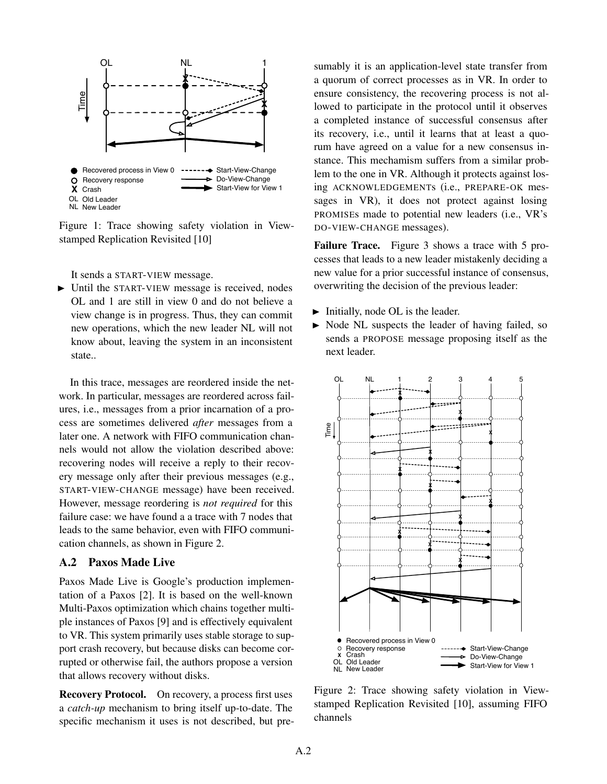<span id="page-12-0"></span>

Figure 1: Trace showing safety violation in Viewstamped Replication Revisited [\[10\]](#page-10-2)

It sends a START-VIEW message.

 $\triangleright$  Until the START-VIEW message is received, nodes OL and 1 are still in view 0 and do not believe a view change is in progress. Thus, they can commit new operations, which the new leader NL will not know about, leaving the system in an inconsistent state..

In this trace, messages are reordered inside the network. In particular, messages are reordered across failures, i.e., messages from a prior incarnation of a process are sometimes delivered *after* messages from a later one. A network with FIFO communication channels would not allow the violation described above: recovering nodes will receive a reply to their recovery message only after their previous messages (e.g., START-VIEW-CHANGE message) have been received. However, message reordering is *not required* for this failure case: we have found a a trace with 7 nodes that leads to the same behavior, even with FIFO communication channels, as shown in [Figure 2.](#page-12-1)

#### A.2 Paxos Made Live

Paxos Made Live is Google's production implementation of a Paxos [\[2\]](#page-10-4). It is based on the well-known Multi-Paxos optimization which chains together multiple instances of Paxos [\[9\]](#page-10-6) and is effectively equivalent to VR. This system primarily uses stable storage to support crash recovery, but because disks can become corrupted or otherwise fail, the authors propose a version that allows recovery without disks.

Recovery Protocol. On recovery, a process first uses a *catch-up* mechanism to bring itself up-to-date. The specific mechanism it uses is not described, but presumably it is an application-level state transfer from a quorum of correct processes as in VR. In order to ensure consistency, the recovering process is not allowed to participate in the protocol until it observes a completed instance of successful consensus after its recovery, i.e., until it learns that at least a quorum have agreed on a value for a new consensus instance. This mechamism suffers from a similar problem to the one in VR. Although it protects against losing ACKNOWLEDGEMENTs (i.e., PREPARE-OK messages in VR), it does not protect against losing PROMISEs made to potential new leaders (i.e., VR's DO-VIEW-CHANGE messages).

Failure Trace. [Figure 3](#page-13-0) shows a trace with 5 processes that leads to a new leader mistakenly deciding a new value for a prior successful instance of consensus, overwriting the decision of the previous leader:

- $\blacktriangleright$  Initially, node OL is the leader.
- $\triangleright$  Node NL suspects the leader of having failed, so sends a PROPOSE message proposing itself as the next leader.

<span id="page-12-1"></span>

Figure 2: Trace showing safety violation in Viewstamped Replication Revisited [\[10\]](#page-10-2), assuming FIFO channels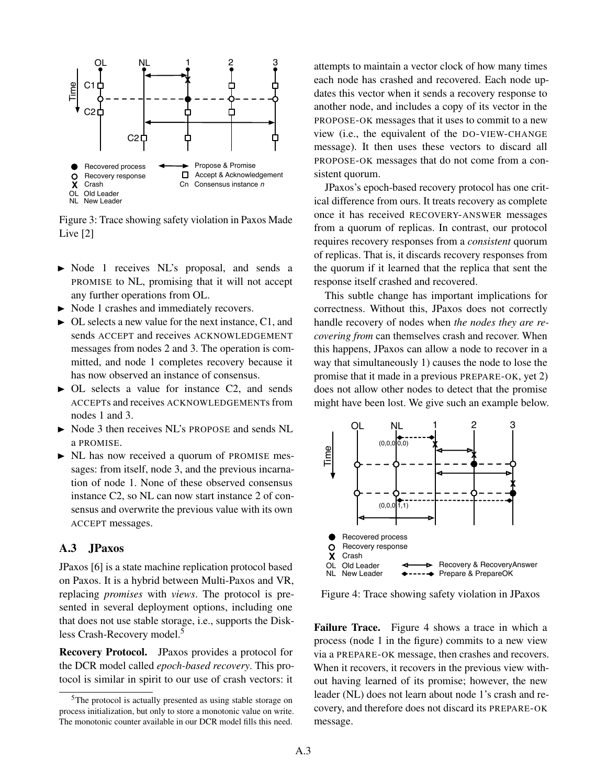<span id="page-13-0"></span>

Figure 3: Trace showing safety violation in Paxos Made Live [\[2\]](#page-10-4)

- $\triangleright$  Node 1 receives NL's proposal, and sends a PROMISE to NL, promising that it will not accept any further operations from OL.
- $\triangleright$  Node 1 crashes and immediately recovers.
- $\triangleright$  OL selects a new value for the next instance, C1, and sends ACCEPT and receives ACKNOWLEDGEMENT messages from nodes 2 and 3. The operation is committed, and node 1 completes recovery because it has now observed an instance of consensus.
- $\triangleright$  OL selects a value for instance C2, and sends ACCEPTs and receives ACKNOWLEDGEMENTs from nodes 1 and 3.
- Node 3 then receives NL's PROPOSE and sends NL a PROMISE.
- $\triangleright$  NL has now received a quorum of PROMISE messages: from itself, node 3, and the previous incarnation of node 1. None of these observed consensus instance C2, so NL can now start instance 2 of consensus and overwrite the previous value with its own ACCEPT messages.

#### A.3 JPaxos

JPaxos [\[6\]](#page-10-9) is a state machine replication protocol based on Paxos. It is a hybrid between Multi-Paxos and VR, replacing *promises* with *views*. The protocol is presented in several deployment options, including one that does not use stable storage, i.e., supports the Disk-less Crash-Recovery model.<sup>[5](#page-13-1)</sup>

Recovery Protocol. JPaxos provides a protocol for the DCR model called *epoch-based recovery*. This protocol is similar in spirit to our use of crash vectors: it attempts to maintain a vector clock of how many times each node has crashed and recovered. Each node updates this vector when it sends a recovery response to another node, and includes a copy of its vector in the PROPOSE-OK messages that it uses to commit to a new view (i.e., the equivalent of the DO-VIEW-CHANGE message). It then uses these vectors to discard all PROPOSE-OK messages that do not come from a consistent quorum.

JPaxos's epoch-based recovery protocol has one critical difference from ours. It treats recovery as complete once it has received RECOVERY-ANSWER messages from a quorum of replicas. In contrast, our protocol requires recovery responses from a *consistent* quorum of replicas. That is, it discards recovery responses from the quorum if it learned that the replica that sent the response itself crashed and recovered.

This subtle change has important implications for correctness. Without this, JPaxos does not correctly handle recovery of nodes when *the nodes they are recovering from* can themselves crash and recover. When this happens, JPaxos can allow a node to recover in a way that simultaneously 1) causes the node to lose the promise that it made in a previous PREPARE-OK, yet 2) does not allow other nodes to detect that the promise might have been lost. We give such an example below.

<span id="page-13-2"></span>

Figure 4: Trace showing safety violation in JPaxos

Failure Trace. Figure [4](#page-13-2) shows a trace in which a process (node 1 in the figure) commits to a new view via a PREPARE-OK message, then crashes and recovers. When it recovers, it recovers in the previous view without having learned of its promise; however, the new leader (NL) does not learn about node 1's crash and recovery, and therefore does not discard its PREPARE-OK message.

<span id="page-13-1"></span><sup>5</sup>The protocol is actually presented as using stable storage on process initialization, but only to store a monotonic value on write. The monotonic counter available in our DCR model fills this need.